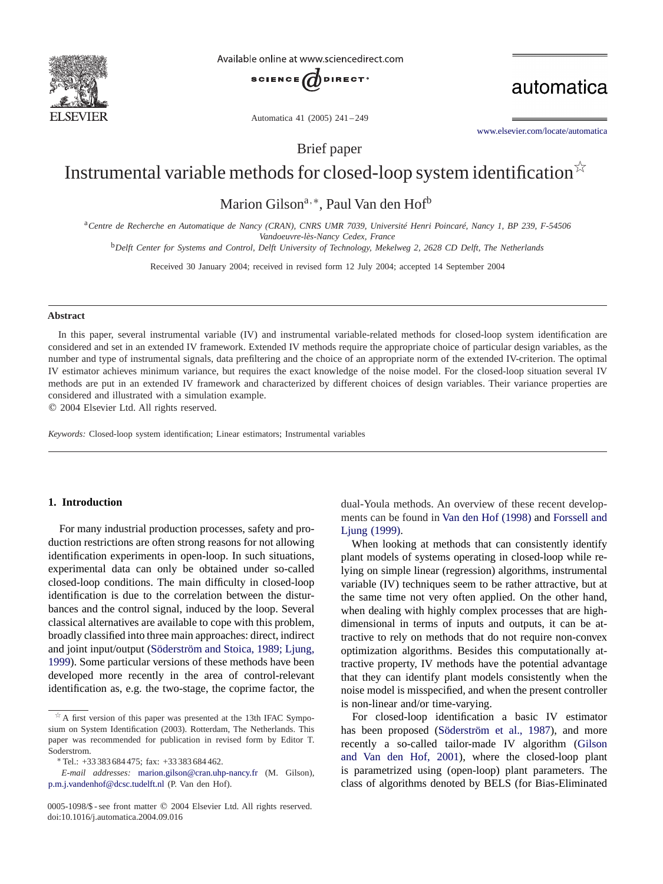

Available online at www.sciencedirect.com



automatica

Automatica 41 (2005) 241 – 249

[www.elsevier.com/locate/automatica](http://www.elsevier.com/locate/automatica)

Brief paper

# Instrumental variable methods for closed-loop system identification  $\overrightarrow{r}$

Marion Gilson<sup>a,∗</sup>, Paul Van den Hof<sup>b</sup>

<sup>a</sup>*Centre de Recherche en Automatique de Nancy (CRAN), CNRS UMR 7039, Université Henri Poincaré, Nancy 1, BP 239, F-54506 Vandoeuvre-lès-Nancy Cedex, France*

<sup>b</sup>*Delft Center for Systems and Control, Delft University of Technology, Mekelweg 2, 2628 CD Delft, The Netherlands*

Received 30 January 2004; received in revised form 12 July 2004; accepted 14 September 2004

## **Abstract**

In this paper, several instrumental variable (IV) and instrumental variable-related methods for closed-loop system identification are considered and set in an extended IV framework. Extended IV methods require the appropriate choice of particular design variables, as the number and type of instrumental signals, data prefiltering and the choice of an appropriate norm of the extended IV-criterion. The optimal IV estimator achieves minimum variance, but requires the exact knowledge of the noise model. For the closed-loop situation several IV methods are put in an extended IV framework and characterized by different choices of design variables. Their variance properties are considered and illustrated with a simulation example.

 $©$  2004 Elsevier Ltd. All rights reserved.

*Keywords:* Closed-loop system identification; Linear estimators; Instrumental variables

#### **1. Introduction**

For many industrial production processes, safety and production restrictions are often strong reasons for not allowing identification experiments in open-loop. In such situations, experimental data can only be obtained under so-called closed-loop conditions. The main difficulty in closed-loop identification is due to the correlation between the disturbances and the control signal, induced by the loop. Several classical alternatives are available to cope with this problem, broadly classified into three main approaches: direct, indirect and joint input/output (Söderström and Stoica, 1989; Ljung, [1999\)](#page-8-0). Some particular versions of these methods have been developed more recently in the area of control-relevant identification as, e.g. the two-stage, the coprime factor, the

dual-Youla methods. An overview of these recent developments can be found in [Van den Hof \(1998\)](#page-8-0) and [Forssell and](#page-8-0) [Ljung \(1999\).](#page-8-0)

When looking at methods that can consistently identify plant models of systems operating in closed-loop while relying on simple linear (regression) algorithms, instrumental variable (IV) techniques seem to be rather attractive, but at the same time not very often applied. On the other hand, when dealing with highly complex processes that are highdimensional in terms of inputs and outputs, it can be attractive to rely on methods that do not require non-convex optimization algorithms. Besides this computationally attractive property, IV methods have the potential advantage that they can identify plant models consistently when the noise model is misspecified, and when the present controller is non-linear and/or time-varying.

For closed-loop identification a basic IV estimator has been proposed [\(Söderström et al., 1987\)](#page-8-0), and more recently a so-called tailor-made IV algorithm [\(Gilson](#page-8-0) [and Van den Hof, 2001\)](#page-8-0), where the closed-loop plant is parametrized using (open-loop) plant parameters. The class of algorithms denoted by BELS (for Bias-Eliminated

 $A$  first version of this paper was presented at the 13th IFAC Symposium on System Identification (2003). Rotterdam, The Netherlands. This paper was recommended for publication in revised form by Editor T. Soderstrom. <sup>∗</sup> Tel.: +33 383 684 475; fax: +33 383 684 462.

*E-mail addresses:* [marion.gilson@cran.uhp-nancy.fr](mailto:marion.gilson@cran.uhp-nancy.fr) (M. Gilson), [p.m.j.vandenhof@dcsc.tudelft.nl](mailto:p.m.j.vandenhof@dcsc.tudelft.nl) (P. Van den Hof).

<sup>0005-1098/\$-</sup>see front matter © 2004 Elsevier Ltd. All rights reserved. doi:10.1016/j.automatica.2004.09.016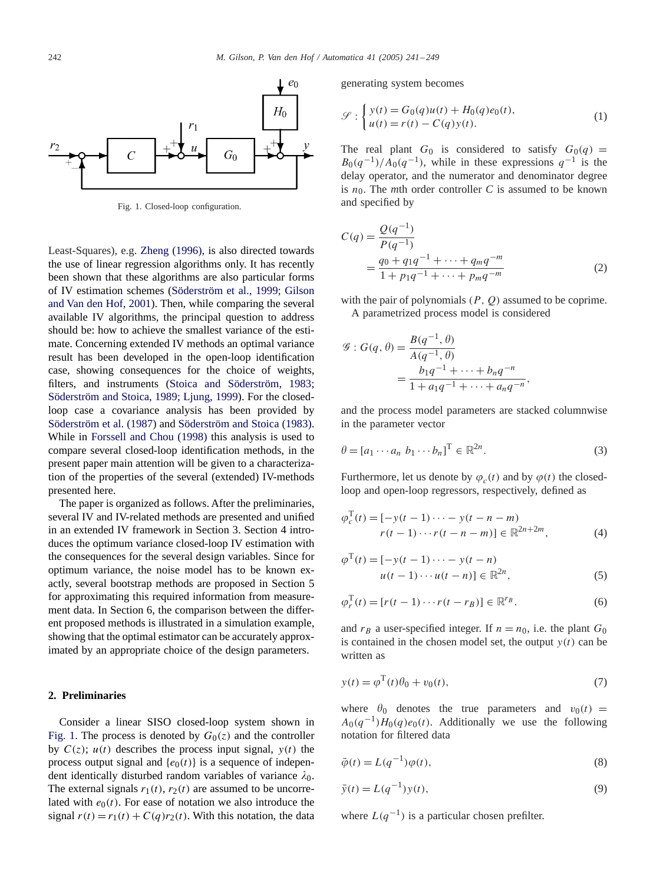

Fig. 1. Closed-loop configuration.

Least-Squares), e.g. [Zheng \(1996\),](#page-8-0) is also directed towards the use of linear regression algorithms only. It has recently been shown that these algorithms are also particular forms of IV estimation schemes (Söderström et al., 1999; Gilson [and Van den Hof, 2001\)](#page-8-0). Then, while comparing the several available IV algorithms, the principal question to address should be: how to achieve the smallest variance of the estimate. Concerning extended IV methods an optimal variance result has been developed in the open-loop identification case, showing consequences for the choice of weights, filters, and instruments [\(Stoica and Söderström, 1983;](#page-8-0) Söderström and Stoica, 1989; Ljung, 1999). For the closedloop case a covariance analysis has been provided by [Söderström et al. \(1987\)](#page-8-0) and [Söderström and Stoica \(1983\).](#page-8-0) While in [Forssell and Chou \(1998\)](#page-8-0) this analysis is used to compare several closed-loop identification methods, in the present paper main attention will be given to a characterization of the properties of the several (extended) IV-methods presented here.

The paper is organized as follows. After the preliminaries, several IV and IV-related methods are presented and unified in an extended IV framework in Section 3. Section 4 introduces the optimum variance closed-loop IV estimation with the consequences for the several design variables. Since for optimum variance, the noise model has to be known exactly, several bootstrap methods are proposed in Section 5 for approximating this required information from measurement data. In Section 6, the comparison between the different proposed methods is illustrated in a simulation example, showing that the optimal estimator can be accurately approximated by an appropriate choice of the design parameters.

#### **2. Preliminaries**

Consider a linear SISO closed-loop system shown in Fig. 1. The process is denoted by  $G_0(z)$  and the controller by  $C(z)$ ;  $u(t)$  describes the process input signal,  $y(t)$  the process output signal and  $\{e_0(t)\}\$ is a sequence of independent identically disturbed random variables of variance  $\lambda_0$ . The external signals  $r_1(t)$ ,  $r_2(t)$  are assumed to be uncorrelated with  $e_0(t)$ . For ease of notation we also introduce the signal  $r(t) = r_1(t) + C(q)r_2(t)$ . With this notation, the data generating system becomes

$$
\mathcal{S}: \begin{cases} y(t) = G_0(q)u(t) + H_0(q)e_0(t), \\ u(t) = r(t) - C(q)y(t). \end{cases}
$$
 (1)

The real plant  $G_0$  is considered to satisfy  $G_0(q)$  =  $B_0(q^{-1})/A_0(q^{-1})$ , while in these expressions  $q^{-1}$  is the delay operator, and the numerator and denominator degree is  $n_0$ . The *mth* order controller *C* is assumed to be known and specified by

$$
C(q) = \frac{Q(q^{-1})}{P(q^{-1})}
$$
  
= 
$$
\frac{q_0 + q_1 q^{-1} + \dots + q_m q^{-m}}{1 + p_1 q^{-1} + \dots + p_m q^{-m}}
$$
 (2)

with the pair of polynomials  $(P, Q)$  assumed to be coprime. A parametrized process model is considered

$$
\mathcal{G}: G(q, \theta) = \frac{B(q^{-1}, \theta)}{A(q^{-1}, \theta)}
$$
  
= 
$$
\frac{b_1 q^{-1} + \dots + b_n q^{-n}}{1 + a_1 q^{-1} + \dots + a_n q^{-n}},
$$

and the process model parameters are stacked columnwise in the parameter vector

$$
\theta = [a_1 \cdots a_n \ b_1 \cdots b_n]^{\mathrm{T}} \in \mathbb{R}^{2n}.
$$
 (3)

Furthermore, let us denote by  $\varphi_c(t)$  and by  $\varphi(t)$  the closedloop and open-loop regressors, respectively, defined as

$$
\varphi_c^{\mathrm{T}}(t) = [-y(t-1)\cdots - y(t-n-m)]
$$
  
 
$$
r(t-1)\cdots r(t-n-m)] \in \mathbb{R}^{2n+2m},
$$
 (4)

$$
\varphi^{T}(t) = [-y(t-1)\cdots - y(t-n)]
$$
  
 
$$
u(t-1)\cdots u(t-n)] \in \mathbb{R}^{2n},
$$
 (5)

$$
\varphi_r^{\mathrm{T}}(t) = [r(t-1)\cdots r(t-r_B)] \in \mathbb{R}^{r_B}.
$$
 (6)

and  $r_B$  a user-specified integer. If  $n = n_0$ , i.e. the plant  $G_0$ is contained in the chosen model set, the output  $y(t)$  can be written as

$$
y(t) = \varphi^{\mathrm{T}}(t)\theta_0 + v_0(t),\tag{7}
$$

where  $\theta_0$  denotes the true parameters and  $v_0(t)$  =  $A_0(q^{-1})H_0(q)e_0(t)$ . Additionally we use the following notation for filtered data

$$
\bar{\varphi}(t) = L(q^{-1})\varphi(t),\tag{8}
$$

$$
\bar{y}(t) = L(q^{-1})y(t),
$$
\n(9)

where  $L(q^{-1})$  is a particular chosen prefilter.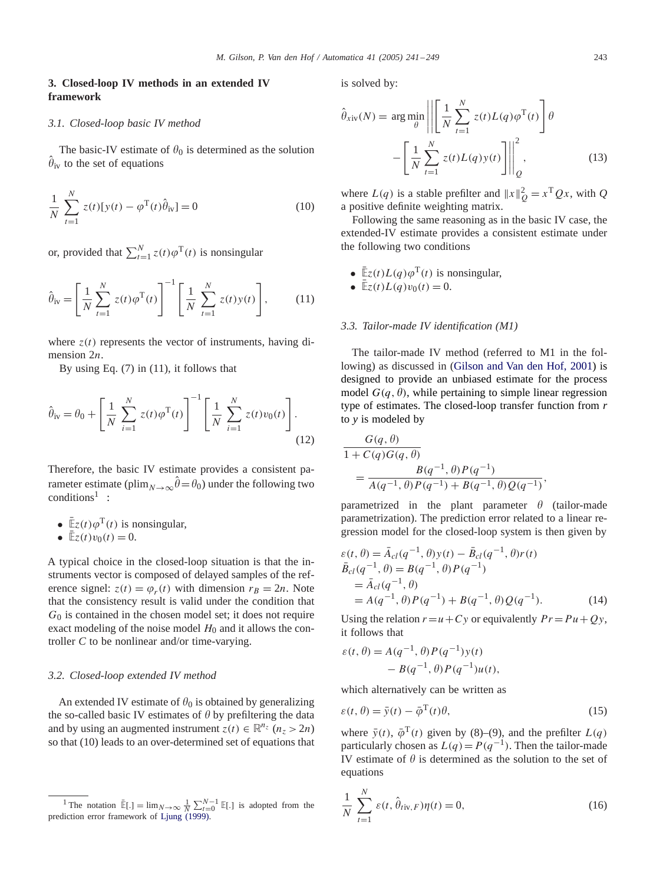# **3. Closed-loop IV methods in an extended IV framework**

## *3.1. Closed-loop basic IV method*

The basic-IV estimate of  $\theta_0$  is determined as the solution  $\hat{\theta}_{i}$ . to the set of equations  $\theta_{iv}$  to the set of equations

$$
\frac{1}{N} \sum_{t=1}^{N} z(t) [y(t) - \varphi^{T}(t)\hat{\theta}_{iv}] = 0
$$
\n(10)

or, provided that  $\sum_{t=1}^{N} z(t) \varphi^{T}(t)$  is nonsingular

$$
\hat{\theta}_{iv} = \left[ \frac{1}{N} \sum_{t=1}^{N} z(t) \varphi^{T}(t) \right]^{-1} \left[ \frac{1}{N} \sum_{t=1}^{N} z(t) y(t) \right],
$$
 (11)

where  $z(t)$  represents the vector of instruments, having dimension 2*n*.

By using Eq. (7) in (11), it follows that

$$
\hat{\theta}_{iv} = \theta_0 + \left[ \frac{1}{N} \sum_{i=1}^{N} z(t) \varphi^{T}(t) \right]^{-1} \left[ \frac{1}{N} \sum_{i=1}^{N} z(t) v_0(t) \right].
$$
\n(12)

Therefore, the basic IV estimate provides a consistent parameter estimate (plim<sub>N→∞</sub> $\hat{\theta} = \theta_0$ ) under the following two  $conditions<sup>1</sup>$ :

- $\overline{\mathbb{E}}z(t)\varphi^{T}(t)$  is nonsingular,
- $\mathbb{E}_z(t)v_0(t) = 0.$

A typical choice in the closed-loop situation is that the instruments vector is composed of delayed samples of the reference signel:  $z(t) = \varphi_r(t)$  with dimension  $r_B = 2n$ . Note that the consistency result is valid under the condition that  $G<sub>0</sub>$  is contained in the chosen model set; it does not require exact modeling of the noise model  $H_0$  and it allows the controller *C* to be nonlinear and/or time-varying.

## *3.2. Closed-loop extended IV method*

An extended IV estimate of  $\theta_0$  is obtained by generalizing the so-called basic IV estimates of  $\theta$  by prefiltering the data and by using an augmented instrument  $z(t) \in \mathbb{R}^{n_z}$   $(n_z > 2n)$ so that (10) leads to an over-determined set of equations that is solved by:

$$
\hat{\theta}_{\text{xiv}}(N) = \arg\min_{\theta} \left| \left| \left[ \frac{1}{N} \sum_{t=1}^{N} z(t) L(q) \varphi^{T}(t) \right] \theta \right| - \left[ \frac{1}{N} \sum_{t=1}^{N} z(t) L(q) y(t) \right] \right|_{Q}^{2}, \qquad (13)
$$

where  $L(q)$  is a stable prefilter and  $||x||_Q^2 = x^T Qx$ , with *Q* a positive definite weighting matrix.

Following the same reasoning as in the basic IV case, the extended-IV estimate provides a consistent estimate under the following two conditions

- $\overline{\mathbb{E}}z(t)L(q)\varphi^{T}(t)$  is nonsingular,
- $\overline{\mathbb{E}}z(t)L(q)v_0(t) = 0.$

#### *3.3. Tailor-made IV identification (M1)*

The tailor-made IV method (referred to M1 in the following) as discussed in [\(Gilson and Van den Hof, 2001\)](#page-8-0) is designed to provide an unbiased estimate for the process model  $G(q, \theta)$ , while pertaining to simple linear regression type of estimates. The closed-loop transfer function from *r* to *y* is modeled by

$$
\frac{G(q, \theta)}{1 + C(q)G(q, \theta)} = \frac{B(q^{-1}, \theta)P(q^{-1})}{A(q^{-1}, \theta)P(q^{-1}) + B(q^{-1}, \theta)Q(q^{-1})}
$$

parametrized in the plant parameter  $\theta$  (tailor-made parametrization). The prediction error related to a linear regression model for the closed-loop system is then given by

,

$$
\varepsilon(t, \theta) = \bar{A}_{cl}(q^{-1}, \theta)y(t) - \bar{B}_{cl}(q^{-1}, \theta)r(t)
$$
  
\n
$$
\bar{B}_{cl}(q^{-1}, \theta) = B(q^{-1}, \theta)P(q^{-1})
$$
  
\n
$$
= \bar{A}_{cl}(q^{-1}, \theta)
$$
  
\n
$$
= A(q^{-1}, \theta)P(q^{-1}) + B(q^{-1}, \theta)Q(q^{-1}).
$$
\n(14)

Using the relation  $r = u + Cy$  or equivalently  $Pr = Pu + Qy$ , it follows that

$$
\varepsilon(t, \theta) = A(q^{-1}, \theta) P(q^{-1}) y(t) - B(q^{-1}, \theta) P(q^{-1}) u(t),
$$

which alternatively can be written as

$$
\varepsilon(t,\theta) = \bar{y}(t) - \bar{\phi}^{\mathrm{T}}(t)\theta,\tag{15}
$$

where  $\bar{y}(t)$ ,  $\bar{\varphi}^{T}(t)$  given by (8)–(9), and the prefilter  $L(q)$ particularly chosen as  $L(q) = P(q^{-1})$ . Then the tailor-made IV estimate of  $\theta$  is determined as the solution to the set of equations

$$
\frac{1}{N} \sum_{t=1}^{N} \varepsilon(t, \hat{\theta}_{tiv, F}) \eta(t) = 0,
$$
\n(16)

<sup>&</sup>lt;sup>1</sup> The notation  $\mathbb{E}[\cdot] = \lim_{N \to \infty} \frac{1}{N} \sum_{t=0}^{N-1} \mathbb{E}[\cdot]$  is adopted from the prediction error framework of [Ljung \(1999\).](#page-8-0)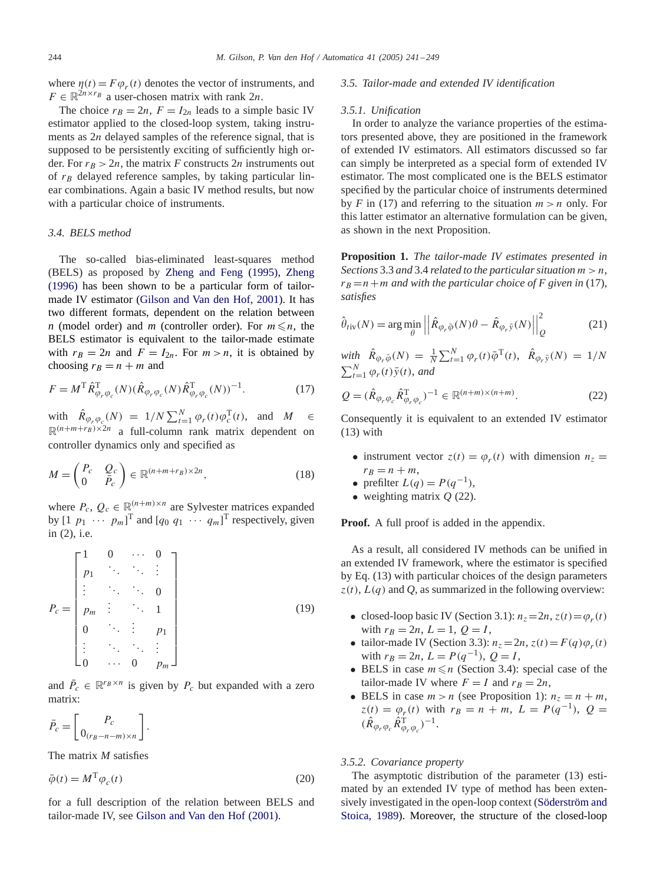where  $\eta(t) = F\varphi_r(t)$  denotes the vector of instruments, and  $F \in \mathbb{R}^{2n \times r_B}$  a user-chosen matrix with rank  $2n$ .

The choice  $r_B = 2n$ ,  $F = I_{2n}$  leads to a simple basic IV estimator applied to the closed-loop system, taking instruments as 2*n* delayed samples of the reference signal, that is supposed to be persistently exciting of sufficiently high order. For  $r_B > 2n$ , the matrix *F* constructs 2*n* instruments out of  $r_B$  delayed reference samples, by taking particular linear combinations. Again a basic IV method results, but now with a particular choice of instruments.

## *3.4. BELS method*

The so-called bias-eliminated least-squares method (BELS) as proposed by [Zheng and Feng \(1995\),](#page-8-0) [Zheng](#page-8-0) [\(1996\)](#page-8-0) has been shown to be a particular form of tailormade IV estimator [\(Gilson and Van den Hof, 2001\)](#page-8-0). It has two different formats, dependent on the relation between *n* (model order) and *m* (controller order). For  $m \le n$ , the BELS estimator is equivalent to the tailor-made estimate with  $r_B = 2n$  and  $F = I_{2n}$ . For  $m > n$ , it is obtained by choosing  $r_B = n + m$  and

$$
F = M^{\mathrm{T}} \hat{R}_{\varphi_r \varphi_c}^{\mathrm{T}}(N) (\hat{R}_{\varphi_r \varphi_c}(N) \hat{R}_{\varphi_r \varphi_c}^{\mathrm{T}}(N))^{-1}.
$$
 (17)

with  $\hat{R}_{\varphi_r \varphi_c}(N) = 1/N \sum_{t=1}^{N} \varphi_r(t) \varphi_c^{\mathrm{T}}(t)$ , and  $M \in$  $\mathbb{R}^{(n+m+r_B)\times 2n}$  a full-column rank matrix dependent on controller dynamics only and specified as

$$
M = \begin{pmatrix} P_c & Q_c \\ 0 & \bar{P}_c \end{pmatrix} \in \mathbb{R}^{(n+m+r_B)\times 2n},\tag{18}
$$

where  $P_c$ ,  $Q_c \in \mathbb{R}^{(n+m)\times n}$  are Sylvester matrices expanded by  $\begin{bmatrix} 1 & p_1 & \cdots & p_m \end{bmatrix}^T$  and  $\begin{bmatrix} q_0 & q_1 & \cdots & q_m \end{bmatrix}^T$  respectively, given in (2), i.e.

$$
P_c = \begin{bmatrix} 1 & 0 & \cdots & 0 \\ p_1 & \ddots & \ddots & \vdots \\ \vdots & \ddots & \ddots & 0 \\ p_m & \vdots & \ddots & 1 \\ 0 & \ddots & \vdots & p_1 \\ \vdots & \ddots & \ddots & \vdots \\ 0 & \cdots & 0 & p_m \end{bmatrix}
$$
 (19)

and  $\bar{P}_c \in \mathbb{R}^{r_B \times n}$  is given by  $P_c$  but expanded with a zero matrix:

$$
\bar{P}_c = \left[ \begin{array}{c} P_c \\ 0_{(r_B - n - m) \times n} \end{array} \right].
$$

The matrix *M* satisfies

$$
\bar{\varphi}(t) = M^{\mathrm{T}} \varphi_c(t) \tag{20}
$$

for a full description of the relation between BELS and tailor-made IV, see [Gilson and Van den Hof \(2001\).](#page-8-0)

#### *3.5. Tailor-made and extended IV identification*

#### *3.5.1. Unification*

In order to analyze the variance properties of the estimators presented above, they are positioned in the framework of extended IV estimators. All estimators discussed so far can simply be interpreted as a special form of extended IV estimator. The most complicated one is the BELS estimator specified by the particular choice of instruments determined by *F* in (17) and referring to the situation  $m > n$  only. For this latter estimator an alternative formulation can be given, as shown in the next Proposition.

**Proposition 1.** *The tailor-made IV estimates presented in Sections* 3.3 *and* 3.4 *related to the particular situation*  $m > n$ ,  $r_B = n+m$  and with the particular choice of F given in (17), *satisfies*

$$
\hat{\theta}_{\text{riv}}(N) = \arg\min_{\theta} \left| \left| \hat{R}_{\varphi_r \bar{\varphi}}(N) \theta - \hat{R}_{\varphi_r \bar{y}}(N) \right| \right|_Q^2 \tag{21}
$$

 $with \hat{R}_{\varphi_r \bar{\varphi}}(N) = \frac{1}{N} \sum_{t=1}^{N} \varphi_r(t) \bar{\varphi}^{T}(t), \hat{R}_{\varphi_r \bar{y}}(N) = 1/N$  $\sum_{t=1}^{N} \varphi_r(t) \bar{y}(t)$ , and

$$
Q = (\hat{R}_{\varphi_r \varphi_c} \hat{R}_{\varphi_r \varphi_c}^{\mathrm{T}})^{-1} \in \mathbb{R}^{(n+m)\times(n+m)}.
$$
 (22)

Consequently it is equivalent to an extended IV estimator  $(13)$  with

- instrument vector  $z(t) = \varphi_r(t)$  with dimension  $n_z =$  $r_B = n + m$ ,
- prefilter  $L(q) = P(q^{-1}),$
- weighting matrix *Q* (22).

**Proof.** A full proof is added in the appendix.

As a result, all considered IV methods can be unified in an extended IV framework, where the estimator is specified by Eq. (13) with particular choices of the design parameters  $z(t)$ ,  $L(q)$  and  $Q$ , as summarized in the following overview:

- closed-loop basic IV (Section 3.1):  $n_z = 2n$ ,  $z(t) = \varphi_r(t)$ with  $r_B = 2n$ ,  $L = 1$ ,  $Q = I$ ,
- tailor-made IV (Section 3.3):  $n_z = 2n$ ,  $z(t) = F(q)\varphi_r(t)$ with  $r_B = 2n$ ,  $L = P(q^{-1})$ ,  $Q = I$ ,
- BELS in case  $m \le n$  (Section 3.4): special case of the tailor-made IV where  $F = I$  and  $r_B = 2n$ ,
- BELS in case  $m > n$  (see Proposition 1):  $n_z = n + m$ ,  $z(t) = \varphi_r(t)$  with  $r_B = n + m$ ,  $L = P(q^{-1})$ ,  $Q =$  $(\hat{R}_{\varphi_r \varphi_c} \hat{R}_{\varphi_r \varphi_c}^{\mathrm{T}})^{-1}.$

# *3.5.2. Covariance property*

The asymptotic distribution of the parameter (13) estimated by an extended IV type of method has been extensively investigated in the open-loop context [\(Söderström and](#page-8-0) [Stoica, 1989\)](#page-8-0). Moreover, the structure of the closed-loop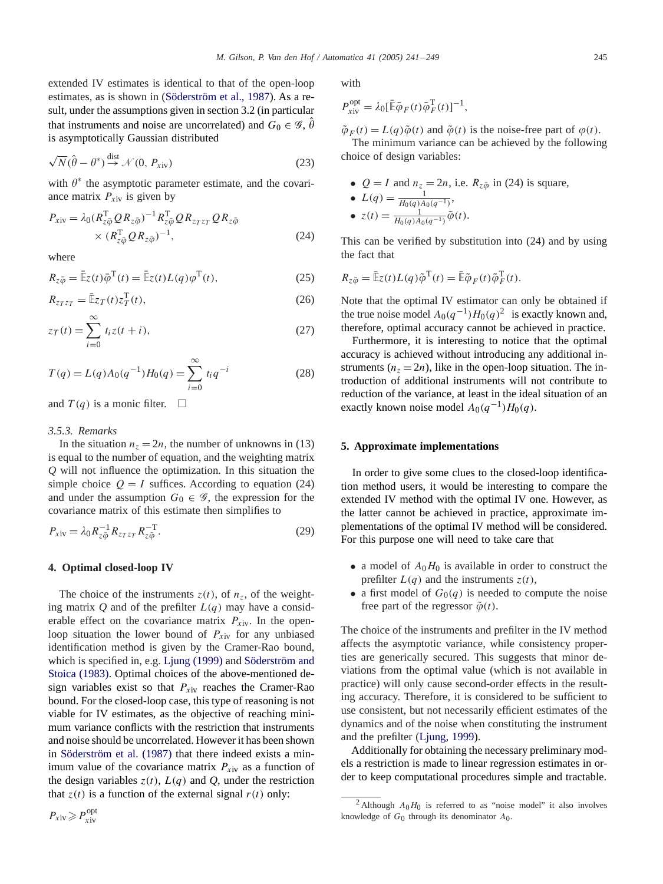*M. Gilson, P. Van den Hof / Automatica 41 (2005) 241 – 249* 245

extended IV estimates is identical to that of the open-loop estimates, as is shown in [\(Söderström et al., 1987\)](#page-8-0). As a result, under the assumptions given in section 3.2 (in particular that instruments and noise are uncorrelated) and  $G_0 \in \mathscr{G}, \hat{\theta}$ is asymptotically Gaussian distributed

$$
\sqrt{N}(\hat{\theta} - \theta^*) \stackrel{\text{dist}}{\rightarrow} \mathcal{N}(0, P_{\text{xiv}})
$$
 (23)

with  $\theta^*$  the asymptotic parameter estimate, and the covariance matrix  $P_{\text{xiv}}$  is given by

$$
P_{\rm xiv} = \lambda_0 (R_{z\bar{\varphi}}^{\rm T} Q R_{z\bar{\varphi}})^{-1} R_{z\bar{\varphi}}^{\rm T} Q R_{z\tau z} Q R_{z\bar{\varphi}} \times (R_{z\bar{\varphi}}^{\rm T} Q R_{z\bar{\varphi}})^{-1}, \tag{24}
$$

where

$$
R_{z\bar{\varphi}} = \bar{\mathbb{E}}z(t)\bar{\varphi}^{\mathrm{T}}(t) = \bar{\mathbb{E}}z(t)L(q)\varphi^{\mathrm{T}}(t),
$$
\n(25)

$$
R_{z_T z_T} = \bar{\mathbb{E}} z_T(t) z_T^{\mathrm{T}}(t),\tag{26}
$$

$$
z_T(t) = \sum_{i=0}^{\infty} t_i z(t+i),
$$
\n(27)

$$
T(q) = L(q)A_0(q^{-1})H_0(q) = \sum_{i=0}^{\infty} t_i q^{-i}
$$
 (28)

and  $T(q)$  is a monic filter.  $\Box$ 

## *3.5.3. Remarks*

In the situation  $n_z = 2n$ , the number of unknowns in (13) is equal to the number of equation, and the weighting matrix *Q* will not influence the optimization. In this situation the simple choice  $Q = I$  suffices. According to equation (24) and under the assumption  $G_0 \in \mathcal{G}$ , the expression for the covariance matrix of this estimate then simplifies to

$$
P_{\rm xiv} = \lambda_0 R_{z\bar{\varphi}}^{-1} R_{z_T z_T} R_{z\bar{\varphi}}^{-T}.
$$
 (29)

#### **4. Optimal closed-loop IV**

The choice of the instruments  $z(t)$ , of  $n_z$ , of the weighting matrix  $Q$  and of the prefilter  $L(q)$  may have a considerable effect on the covariance matrix  $P_{\text{xiv}}$ . In the openloop situation the lower bound of  $P_{\text{xiv}}$  for any unbiased identification method is given by the Cramer-Rao bound, which is specified in, e.g. [Ljung \(1999\)](#page-8-0) and [Söderström and](#page-8-0) [Stoica \(1983\).](#page-8-0) Optimal choices of the above-mentioned design variables exist so that  $P_{\text{xiv}}$  reaches the Cramer-Rao bound. For the closed-loop case, this type of reasoning is not viable for IV estimates, as the objective of reaching minimum variance conflicts with the restriction that instruments and noise should be uncorrelated. However it has been shown in [Söderström et al. \(1987\)](#page-8-0) that there indeed exists a minimum value of the covariance matrix  $P_{\text{xiv}}$  as a function of the design variables  $z(t)$ ,  $L(q)$  and  $Q$ , under the restriction that  $z(t)$  is a function of the external signal  $r(t)$  only:

with

$$
P_{\text{xiv}}^{\text{opt}} = \lambda_0 [\bar{\mathbb{E}} \tilde{\varphi}_F(t) \tilde{\varphi}_F^{\text{T}}(t)]^{-1},
$$

 $\tilde{\varphi}_F(t) = L(q)\tilde{\varphi}(t)$  and  $\tilde{\varphi}(t)$  is the noise-free part of  $\varphi(t)$ .

The minimum variance can be achieved by the following choice of design variables:

• 
$$
Q = I
$$
 and  $n_z = 2n$ , i.e.  $R_{z\bar{\varphi}}$  in (24) is square,

• 
$$
L(q) = \frac{1}{H_0(q)A_0(q^{-1})}
$$
,  
\n•  $z(t) = \frac{1}{H_0(q)A_0(q^{-1})}\tilde{\varphi}(t)$ .

This can be verified by substitution into (24) and by using the fact that

$$
R_{z\bar{\varphi}} = \bar{\mathbb{E}}z(t)L(q)\tilde{\varphi}^{\mathrm{T}}(t) = \bar{\mathbb{E}}\tilde{\varphi}_F(t)\tilde{\varphi}_F^{\mathrm{T}}(t).
$$

Note that the optimal IV estimator can only be obtained if the true noise model  $A_0(q^{-1})H_0(q)^2$  is exactly known and, therefore, optimal accuracy cannot be achieved in practice.

Furthermore, it is interesting to notice that the optimal accuracy is achieved without introducing any additional instruments  $(n_z = 2n)$ , like in the open-loop situation. The introduction of additional instruments will not contribute to reduction of the variance, at least in the ideal situation of an exactly known noise model  $A_0(q^{-1})H_0(q)$ .

# **5. Approximate implementations**

In order to give some clues to the closed-loop identification method users, it would be interesting to compare the extended IV method with the optimal IV one. However, as the latter cannot be achieved in practice, approximate implementations of the optimal IV method will be considered. For this purpose one will need to take care that

- a model of  $A_0H_0$  is available in order to construct the prefilter  $L(q)$  and the instruments  $z(t)$ ,
- a first model of  $G_0(q)$  is needed to compute the noise free part of the regressor  $\tilde{\varphi}(t)$ .

The choice of the instruments and prefilter in the IV method affects the asymptotic variance, while consistency properties are generically secured. This suggests that minor deviations from the optimal value (which is not available in practice) will only cause second-order effects in the resulting accuracy. Therefore, it is considered to be sufficient to use consistent, but not necessarily efficient estimates of the dynamics and of the noise when constituting the instrument and the prefilter [\(Ljung, 1999\)](#page-8-0).

Additionally for obtaining the necessary preliminary models a restriction is made to linear regression estimates in order to keep computational procedures simple and tractable.

<sup>&</sup>lt;sup>2</sup> Although  $A_0H_0$  is referred to as "noise model" it also involves knowledge of  $G_0$  through its denominator  $A_0$ .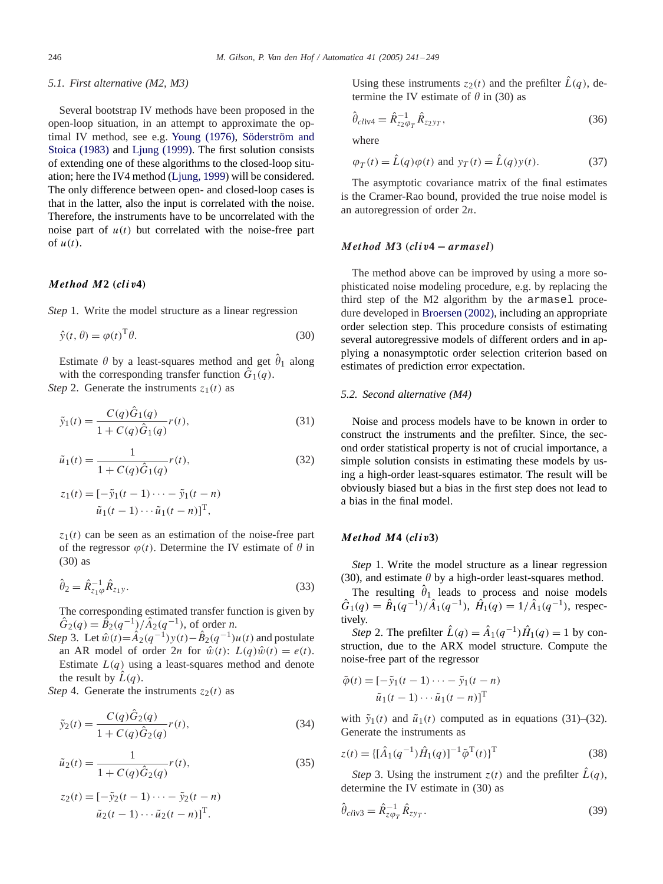#### *5.1. First alternative (M2, M3)*

Several bootstrap IV methods have been proposed in the open-loop situation, in an attempt to approximate the optimal IV method, see e.g. [Young \(1976\),](#page-8-0) [Söderström and](#page-8-0) [Stoica \(1983\)](#page-8-0) and [Ljung \(1999\).](#page-8-0) The first solution consists of extending one of these algorithms to the closed-loop situation; here the IV4 method [\(Ljung, 1999\)](#page-8-0) will be considered. The only difference between open- and closed-loop cases is that in the latter, also the input is correlated with the noise. Therefore, the instruments have to be uncorrelated with the noise part of  $u(t)$  but correlated with the noise-free part of  $u(t)$ .

# *Method M***2** *(cliv***4***)*

*Step* 1. Write the model structure as a linear regression

$$
\hat{y}(t,\theta) = \varphi(t)^{\mathrm{T}}\theta. \tag{30}
$$

Estimate  $\theta$  by a least-squares method and get  $\hat{\theta}_1$  along with the corresponding transfer function  $\hat{G}_1(q)$ .

*Step* 2. Generate the instruments  $z_1(t)$  as

$$
\tilde{y}_1(t) = \frac{C(q)\hat{G}_1(q)}{1 + C(q)\hat{G}_1(q)}r(t),\tag{31}
$$

$$
\tilde{u}_1(t) = \frac{1}{1 + C(q)\hat{G}_1(q)}r(t),\tag{32}
$$

$$
z_1(t) = [-\tilde{y}_1(t-1)\cdots - \tilde{y}_1(t-n)]
$$

$$
\tilde{u}_1(t-1)\cdots\tilde{u}_1(t-n)]^{\mathrm{T}},
$$

 $z_1(t)$  can be seen as an estimation of the noise-free part of the regressor  $\varphi(t)$ . Determine the IV estimate of  $\theta$  in (30) as

$$
\hat{\theta}_2 = \hat{R}_{z_1\varphi}^{-1} \hat{R}_{z_1y}.
$$
\n(33)

The corresponding estimated transfer function is given by  $\hat{G}_2(q) = \hat{B}_2(q^{-1})/\hat{A}_2(q^{-1})$ , of order *n*.

*Step* 3. Let  $\hat{w}(t) = \hat{A}_2(q^{-1})y(t) - \hat{B}_2(q^{-1})u(t)$  and postulate an AR model of order  $2n$  for  $\hat{w}(t)$ :  $L(q)\hat{w}(t) = e(t)$ . Estimate  $L(q)$  using a least-squares method and denote the result by  $\hat{L}(q)$ .

*Step* 4. Generate the instruments  $z_2(t)$  as

$$
\tilde{y}_2(t) = \frac{C(q)\hat{G}_2(q)}{1 + C(q)\hat{G}_2(q)}r(t),\tag{34}
$$

$$
\tilde{u}_2(t) = \frac{1}{1 + C(q)\hat{G}_2(q)} r(t),\tag{35}
$$

$$
z_2(t) = [-\tilde{y}_2(t-1)\cdots - \tilde{y}_2(t-n)]
$$

$$
\tilde{u}_2(t-1)\cdots \tilde{u}_2(t-n)]^T.
$$

Using these instruments  $z_2(t)$  and the prefilter  $\hat{L}(q)$ , determine the IV estimate of  $\theta$  in (30) as

$$
\hat{\theta}_{\text{cliv4}} = \hat{R}_{z_2 \varphi_T}^{-1} \hat{R}_{z_2 \gamma_T},
$$
\n(36)

where

$$
\varphi_T(t) = \hat{L}(q)\varphi(t) \text{ and } y_T(t) = \hat{L}(q)y(t). \tag{37}
$$

The asymptotic covariance matrix of the final estimates is the Cramer-Rao bound, provided the true noise model is an autoregression of order 2n.

#### *Method M***3** *(cliv***4 −** *armasel)*

The method above can be improved by using a more sophisticated noise modeling procedure, e.g. by replacing the third step of the M2 algorithm by the armasel procedure developed in [Broersen \(2002\),](#page-8-0) including an appropriate order selection step. This procedure consists of estimating several autoregressive models of different orders and in applying a nonasymptotic order selection criterion based on estimates of prediction error expectation.

#### *5.2. Second alternative (M4)*

Noise and process models have to be known in order to construct the instruments and the prefilter. Since, the second order statistical property is not of crucial importance, a simple solution consists in estimating these models by using a high-order least-squares estimator. The result will be obviously biased but a bias in the first step does not lead to a bias in the final model.

#### *Method M***4** *(cliv***3***)*

*Step* 1. Write the model structure as a linear regression (30), and estimate  $\theta$  by a high-order least-squares method.

The resulting  $\hat{\theta}_1$  leads to process and noise models  $\hat{G}_1(q) = \hat{B}_1(q^{-1})/\hat{A}_1(q^{-1}), \ \hat{H}_1(q) = 1/\hat{A}_1(q^{-1}), \text{ respec-}$ tively.

*Step* 2. The prefilter  $\hat{L}(q) = \hat{A}_1(q^{-1})\hat{H}_1(q) = 1$  by construction, due to the ARX model structure. Compute the noise-free part of the regressor

$$
\tilde{\varphi}(t) = [-\tilde{y}_1(t-1)\cdots - \tilde{y}_1(t-n)]
$$

$$
\tilde{u}_1(t-1)\cdots \tilde{u}_1(t-n)]^T
$$

with  $\tilde{y}_1(t)$  and  $\tilde{u}_1(t)$  computed as in equations (31)–(32). Generate the instruments as

$$
z(t) = \{ [\hat{A}_1(q^{-1})\hat{H}_1(q)]^{-1}\tilde{\varphi}^{\mathrm{T}}(t) \}^{\mathrm{T}}
$$
 (38)

*Step* 3. Using the instrument  $z(t)$  and the prefilter  $\hat{L}(q)$ , determine the IV estimate in (30) as

$$
\hat{\theta}_{\text{cliv3}} = \hat{R}_{z\varphi_T}^{-1} \hat{R}_{zy_T}.
$$
\n(39)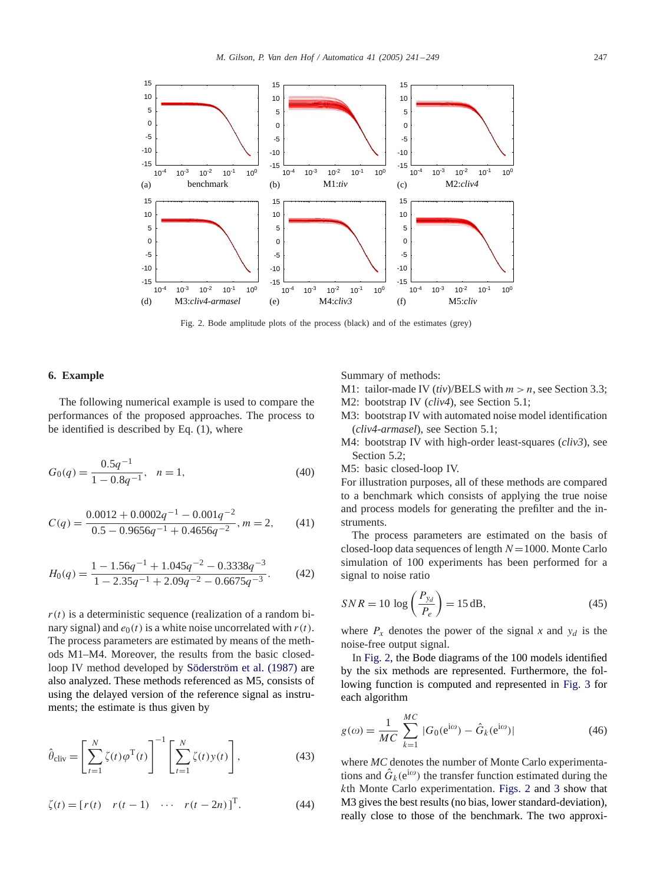

Fig. 2. Bode amplitude plots of the process (black) and of the estimates (grey)

#### **6. Example**

The following numerical example is used to compare the performances of the proposed approaches. The process to be identified is described by Eq. (1), where

$$
G_0(q) = \frac{0.5q^{-1}}{1 - 0.8q^{-1}}, \quad n = 1,
$$
\n(40)

$$
C(q) = \frac{0.0012 + 0.0002q^{-1} - 0.001q^{-2}}{0.5 - 0.9656q^{-1} + 0.4656q^{-2}}, m = 2,
$$
 (41)

$$
H_0(q) = \frac{1 - 1.56q^{-1} + 1.045q^{-2} - 0.3338q^{-3}}{1 - 2.35q^{-1} + 2.09q^{-2} - 0.6675q^{-3}}.
$$
 (42)

 $r(t)$  is a deterministic sequence (realization of a random binary signal) and  $e_0(t)$  is a white noise uncorrelated with  $r(t)$ . The process parameters are estimated by means of the methods M1–M4. Moreover, the results from the basic closedloop IV method developed by [Söderström et al. \(1987\)](#page-8-0) are also analyzed. These methods referenced as M5, consists of using the delayed version of the reference signal as instruments; the estimate is thus given by

$$
\hat{\theta}_{\text{cliv}} = \left[ \sum_{t=1}^{N} \zeta(t) \varphi^{T}(t) \right]^{-1} \left[ \sum_{t=1}^{N} \zeta(t) y(t) \right],
$$
\n(43)

$$
\zeta(t) = [r(t) \quad r(t-1) \quad \cdots \quad r(t-2n)]^{\mathrm{T}}.
$$
 (44)

Summary of methods:

- M1: tailor-made IV  $(tiv)/BELS$  with  $m > n$ , see Section 3.3;
- M2: bootstrap IV (*cliv4*), see Section 5.1;
- M3: bootstrap IV with automated noise model identification (*cliv4-armasel*), see Section 5.1;
- M4: bootstrap IV with high-order least-squares (*cliv3*), see Section 5.2;
- M5: basic closed-loop IV.

For illustration purposes, all of these methods are compared to a benchmark which consists of applying the true noise and process models for generating the prefilter and the instruments.

The process parameters are estimated on the basis of closed-loop data sequences of length  $N=1000$ . Monte Carlo simulation of 100 experiments has been performed for a signal to noise ratio

$$
SNR = 10 \log \left(\frac{P_{y_d}}{P_e}\right) = 15 \text{ dB},\tag{45}
$$

where  $P_x$  denotes the power of the signal x and  $y_d$  is the noise-free output signal.

In Fig. 2, the Bode diagrams of the 100 models identified by the six methods are represented. Furthermore, the following function is computed and represented in [Fig. 3](#page-7-0) for each algorithm

$$
g(\omega) = \frac{1}{MC} \sum_{k=1}^{MC} |G_0(e^{i\omega}) - \hat{G}_k(e^{i\omega})|
$$
 (46)

where *MC* denotes the number of Monte Carlo experimentations and  $\hat{G}_k(e^{i\omega})$  the transfer function estimated during the  $k$ th Monte Carlo experimentation. Figs. 2 and [3](#page-7-0) show that M3 gives the best results (no bias, lower standard-deviation), really close to those of the benchmark. The two approxi-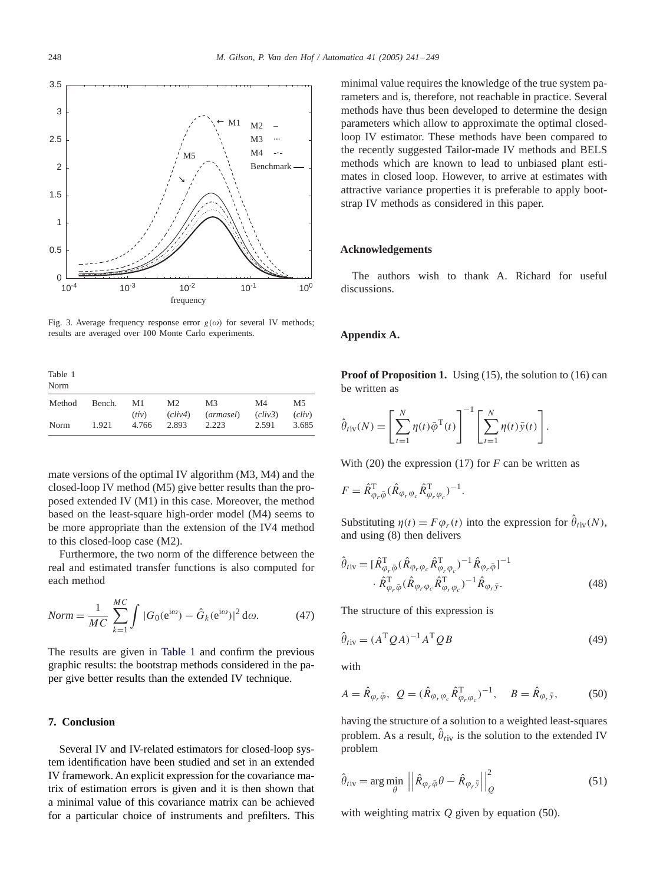<span id="page-7-0"></span>

Fig. 3. Average frequency response error  $g(\omega)$  for several IV methods; results are averaged over 100 Monte Carlo experiments.

| Table 1<br>Norm |        |       |                |                |         |        |
|-----------------|--------|-------|----------------|----------------|---------|--------|
| Method          | Bench. | M1    | M <sub>2</sub> | M <sub>3</sub> | M4      | M5     |
|                 |        | (iiv) | (cliv4)        | (armasel)      | (cliv3) | (cliv) |
| Norm            | 1.921  | 4.766 | 2.893          | 2.223          | 2.591   | 3.685  |

mate versions of the optimal IV algorithm (M3, M4) and the closed-loop IV method (M5) give better results than the proposed extended IV (M1) in this case. Moreover, the method based on the least-square high-order model (M4) seems to be more appropriate than the extension of the IV4 method to this closed-loop case (M2).

Furthermore, the two norm of the difference between the real and estimated transfer functions is also computed for each method

$$
Norm = \frac{1}{MC} \sum_{k=1}^{MC} \int |G_0(e^{i\omega}) - \hat{G}_k(e^{i\omega})|^2 d\omega.
$$
 (47)

The results are given in Table 1 and confirm the previous graphic results: the bootstrap methods considered in the paper give better results than the extended IV technique.

# **7. Conclusion**

Several IV and IV-related estimators for closed-loop system identification have been studied and set in an extended IV framework. An explicit expression for the covariance matrix of estimation errors is given and it is then shown that a minimal value of this covariance matrix can be achieved for a particular choice of instruments and prefilters. This minimal value requires the knowledge of the true system parameters and is, therefore, not reachable in practice. Several methods have thus been developed to determine the design parameters which allow to approximate the optimal closedloop IV estimator. These methods have been compared to the recently suggested Tailor-made IV methods and BELS methods which are known to lead to unbiased plant estimates in closed loop. However, to arrive at estimates with attractive variance properties it is preferable to apply bootstrap IV methods as considered in this paper.

#### **Acknowledgements**

The authors wish to thank A. Richard for useful discussions.

# **Appendix A.**

**Proof of Proposition 1.** Using (15), the solution to (16) can be written as

$$
\hat{\theta}_{\text{riv}}(N) = \left[\sum_{t=1}^{N} \eta(t) \bar{\varphi}^{T}(t)\right]^{-1} \left[\sum_{t=1}^{N} \eta(t) \bar{y}(t)\right].
$$

With (20) the expression (17) for  $F$  can be written as

$$
F = \hat{R}_{\varphi_r \bar{\varphi}}^{\mathrm{T}} (\hat{R}_{\varphi_r \varphi_c} \hat{R}_{\varphi_r \varphi_c}^{\mathrm{T}})^{-1}.
$$

Substituting  $\eta(t) = F \varphi_r(t)$  into the expression for  $\hat{\theta}_{tiv}(N)$ , and using (8) then delivers

$$
\hat{\theta}_{\text{riv}} = [\hat{R}_{\varphi_r \bar{\varphi}}^{\text{T}} (\hat{R}_{\varphi_r \varphi_c} \hat{R}_{\varphi_r \varphi_c}^{\text{T}})^{-1} \hat{R}_{\varphi_r \bar{\varphi}}]^{-1} \cdot \hat{R}_{\varphi_r \bar{\varphi}}^{\text{T}} (\hat{R}_{\varphi_r \varphi_c} \hat{R}_{\varphi_r \varphi_c}^{\text{T}})^{-1} \hat{R}_{\varphi_r \bar{\mathbf{y}}}.
$$
\n(48)

The structure of this expression is

$$
\hat{\theta}_{\text{riv}} = (A^{\text{T}} \mathcal{Q} A)^{-1} A^{\text{T}} \mathcal{Q} B \tag{49}
$$

with

$$
A = \hat{R}_{\varphi_r \bar{\varphi}}, \ Q = (\hat{R}_{\varphi_r \varphi_c} \hat{R}_{\varphi_r \varphi_c}^T)^{-1}, \quad B = \hat{R}_{\varphi_r \bar{y}}, \tag{50}
$$

having the structure of a solution to a weighted least-squares problem. As a result,  $\hat{\theta}_{tiv}$  is the solution to the extended IV problem

$$
\hat{\theta}_{\text{riv}} = \arg \min_{\theta} \left| \left| \hat{R}_{\varphi_r \bar{\varphi}} \theta - \hat{R}_{\varphi_r \bar{y}} \right| \right|_Q^2 \tag{51}
$$

with weighting matrix  $Q$  given by equation (50).